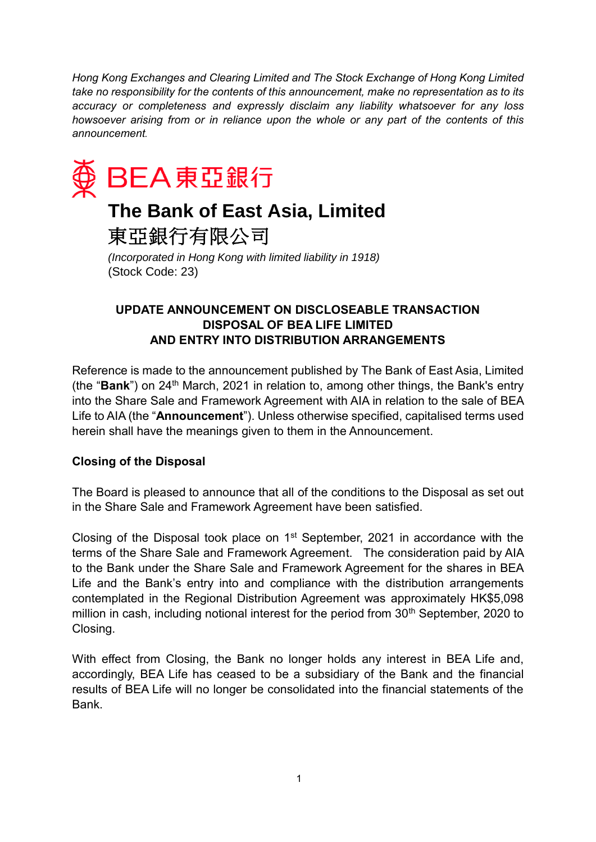*Hong Kong Exchanges and Clearing Limited and The Stock Exchange of Hong Kong Limited take no responsibility for the contents of this announcement, make no representation as to its accuracy or completeness and expressly disclaim any liability whatsoever for any loss howsoever arising from or in reliance upon the whole or any part of the contents of this announcement.*



# **The Bank of East Asia, Limited**

東亞銀行有限公司

*(Incorporated in Hong Kong with limited liability in 1918)* (Stock Code: 23)

## **UPDATE ANNOUNCEMENT ON DISCLOSEABLE TRANSACTION DISPOSAL OF BEA LIFE LIMITED AND ENTRY INTO DISTRIBUTION ARRANGEMENTS**

Reference is made to the announcement published by The Bank of East Asia, Limited (the "**Bank**") on 24<sup>th</sup> March, 2021 in relation to, among other things, the Bank's entry into the Share Sale and Framework Agreement with AIA in relation to the sale of BEA Life to AIA (the "**Announcement**"). Unless otherwise specified, capitalised terms used herein shall have the meanings given to them in the Announcement.

#### **Closing of the Disposal**

The Board is pleased to announce that all of the conditions to the Disposal as set out in the Share Sale and Framework Agreement have been satisfied.

Closing of the Disposal took place on  $1<sup>st</sup>$  September, 2021 in accordance with the terms of the Share Sale and Framework Agreement. The consideration paid by AIA to the Bank under the Share Sale and Framework Agreement for the shares in BEA Life and the Bank's entry into and compliance with the distribution arrangements contemplated in the Regional Distribution Agreement was approximately HK\$5,098 million in cash, including notional interest for the period from 30<sup>th</sup> September, 2020 to Closing.

With effect from Closing, the Bank no longer holds any interest in BEA Life and, accordingly, BEA Life has ceased to be a subsidiary of the Bank and the financial results of BEA Life will no longer be consolidated into the financial statements of the Bank.